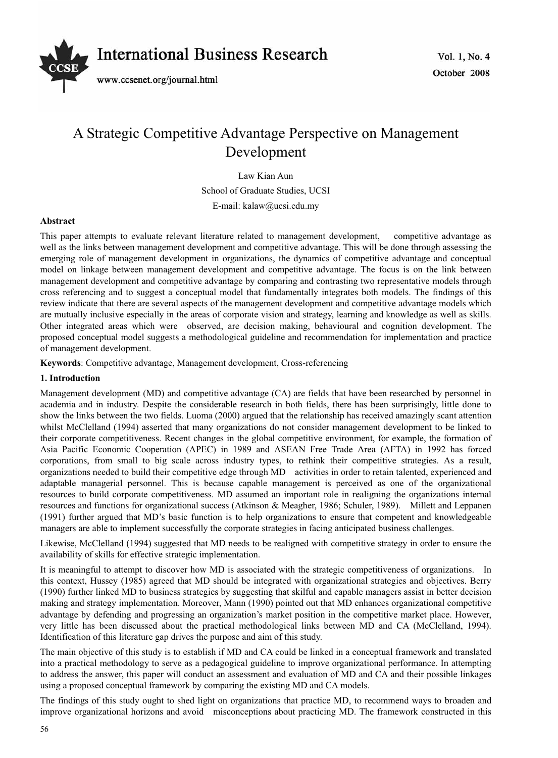

# A Strategic Competitive Advantage Perspective on Management Development

Law Kian Aun School of Graduate Studies, UCSI E-mail: kalaw@ucsi.edu.my

## **Abstract**

This paper attempts to evaluate relevant literature related to management development, competitive advantage as well as the links between management development and competitive advantage. This will be done through assessing the emerging role of management development in organizations, the dynamics of competitive advantage and conceptual model on linkage between management development and competitive advantage. The focus is on the link between management development and competitive advantage by comparing and contrasting two representative models through cross referencing and to suggest a conceptual model that fundamentally integrates both models. The findings of this review indicate that there are several aspects of the management development and competitive advantage models which are mutually inclusive especially in the areas of corporate vision and strategy, learning and knowledge as well as skills. Other integrated areas which were observed, are decision making, behavioural and cognition development. The proposed conceptual model suggests a methodological guideline and recommendation for implementation and practice of management development.

**Keywords**: Competitive advantage, Management development, Cross-referencing

## **1. Introduction**

Management development (MD) and competitive advantage (CA) are fields that have been researched by personnel in academia and in industry. Despite the considerable research in both fields, there has been surprisingly, little done to show the links between the two fields. Luoma (2000) argued that the relationship has received amazingly scant attention whilst McClelland (1994) asserted that many organizations do not consider management development to be linked to their corporate competitiveness. Recent changes in the global competitive environment, for example, the formation of Asia Pacific Economic Cooperation (APEC) in 1989 and ASEAN Free Trade Area (AFTA) in 1992 has forced corporations, from small to big scale across industry types, to rethink their competitive strategies. As a result, organizations needed to build their competitive edge through MD activities in order to retain talented, experienced and adaptable managerial personnel. This is because capable management is perceived as one of the organizational resources to build corporate competitiveness. MD assumed an important role in realigning the organizations internal resources and functions for organizational success (Atkinson & Meagher, 1986; Schuler, 1989). Millett and Leppanen (1991) further argued that MD's basic function is to help organizations to ensure that competent and knowledgeable managers are able to implement successfully the corporate strategies in facing anticipated business challenges.

Likewise, McClelland (1994) suggested that MD needs to be realigned with competitive strategy in order to ensure the availability of skills for effective strategic implementation.

It is meaningful to attempt to discover how MD is associated with the strategic competitiveness of organizations. In this context, Hussey (1985) agreed that MD should be integrated with organizational strategies and objectives. Berry (1990) further linked MD to business strategies by suggesting that skilful and capable managers assist in better decision making and strategy implementation. Moreover, Mann (1990) pointed out that MD enhances organizational competitive advantage by defending and progressing an organization's market position in the competitive market place. However, very little has been discussed about the practical methodological links between MD and CA (McClelland, 1994). Identification of this literature gap drives the purpose and aim of this study.

The main objective of this study is to establish if MD and CA could be linked in a conceptual framework and translated into a practical methodology to serve as a pedagogical guideline to improve organizational performance. In attempting to address the answer, this paper will conduct an assessment and evaluation of MD and CA and their possible linkages using a proposed conceptual framework by comparing the existing MD and CA models.

The findings of this study ought to shed light on organizations that practice MD, to recommend ways to broaden and improve organizational horizons and avoid misconceptions about practicing MD. The framework constructed in this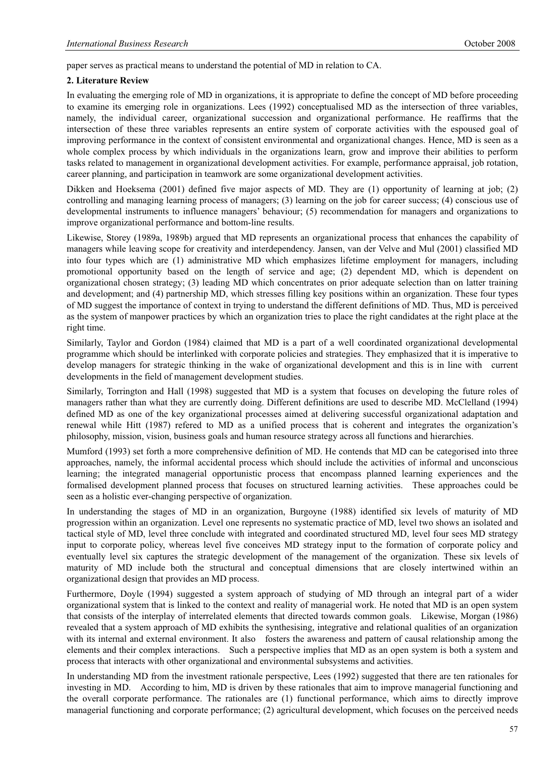paper serves as practical means to understand the potential of MD in relation to CA.

# **2. Literature Review**

In evaluating the emerging role of MD in organizations, it is appropriate to define the concept of MD before proceeding to examine its emerging role in organizations. Lees (1992) conceptualised MD as the intersection of three variables, namely, the individual career, organizational succession and organizational performance. He reaffirms that the intersection of these three variables represents an entire system of corporate activities with the espoused goal of improving performance in the context of consistent environmental and organizational changes. Hence, MD is seen as a whole complex process by which individuals in the organizations learn, grow and improve their abilities to perform tasks related to management in organizational development activities. For example, performance appraisal, job rotation, career planning, and participation in teamwork are some organizational development activities.

Dikken and Hoeksema (2001) defined five major aspects of MD. They are (1) opportunity of learning at job; (2) controlling and managing learning process of managers; (3) learning on the job for career success; (4) conscious use of developmental instruments to influence managers' behaviour; (5) recommendation for managers and organizations to improve organizational performance and bottom-line results.

Likewise, Storey (1989a, 1989b) argued that MD represents an organizational process that enhances the capability of managers while leaving scope for creativity and interdependency. Jansen, van der Velve and Mul (2001) classified MD into four types which are (1) administrative MD which emphasizes lifetime employment for managers, including promotional opportunity based on the length of service and age; (2) dependent MD, which is dependent on organizational chosen strategy; (3) leading MD which concentrates on prior adequate selection than on latter training and development; and (4) partnership MD, which stresses filling key positions within an organization. These four types of MD suggest the importance of context in trying to understand the different definitions of MD. Thus, MD is perceived as the system of manpower practices by which an organization tries to place the right candidates at the right place at the right time.

Similarly, Taylor and Gordon (1984) claimed that MD is a part of a well coordinated organizational developmental programme which should be interlinked with corporate policies and strategies. They emphasized that it is imperative to develop managers for strategic thinking in the wake of organizational development and this is in line with current developments in the field of management development studies.

Similarly, Torrington and Hall (1998) suggested that MD is a system that focuses on developing the future roles of managers rather than what they are currently doing. Different definitions are used to describe MD. McClelland (1994) defined MD as one of the key organizational processes aimed at delivering successful organizational adaptation and renewal while Hitt (1987) refered to MD as a unified process that is coherent and integrates the organization's philosophy, mission, vision, business goals and human resource strategy across all functions and hierarchies.

Mumford (1993) set forth a more comprehensive definition of MD. He contends that MD can be categorised into three approaches, namely, the informal accidental process which should include the activities of informal and unconscious learning; the integrated managerial opportunistic process that encompass planned learning experiences and the formalised development planned process that focuses on structured learning activities. These approaches could be seen as a holistic ever-changing perspective of organization.

In understanding the stages of MD in an organization, Burgoyne (1988) identified six levels of maturity of MD progression within an organization. Level one represents no systematic practice of MD, level two shows an isolated and tactical style of MD, level three conclude with integrated and coordinated structured MD, level four sees MD strategy input to corporate policy, whereas level five conceives MD strategy input to the formation of corporate policy and eventually level six captures the strategic development of the management of the organization. These six levels of maturity of MD include both the structural and conceptual dimensions that are closely intertwined within an organizational design that provides an MD process.

Furthermore, Doyle (1994) suggested a system approach of studying of MD through an integral part of a wider organizational system that is linked to the context and reality of managerial work. He noted that MD is an open system that consists of the interplay of interrelated elements that directed towards common goals. Likewise, Morgan (1986) revealed that a system approach of MD exhibits the synthesising, integrative and relational qualities of an organization with its internal and external environment. It also fosters the awareness and pattern of causal relationship among the elements and their complex interactions. Such a perspective implies that MD as an open system is both a system and process that interacts with other organizational and environmental subsystems and activities.

In understanding MD from the investment rationale perspective, Lees (1992) suggested that there are ten rationales for investing in MD. According to him, MD is driven by these rationales that aim to improve managerial functioning and the overall corporate performance. The rationales are (1) functional performance, which aims to directly improve managerial functioning and corporate performance; (2) agricultural development, which focuses on the perceived needs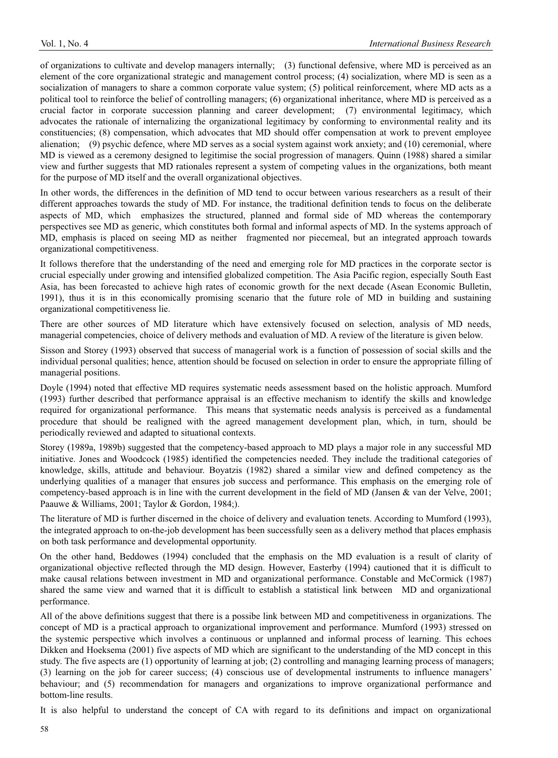of organizations to cultivate and develop managers internally; (3) functional defensive, where MD is perceived as an element of the core organizational strategic and management control process; (4) socialization, where MD is seen as a socialization of managers to share a common corporate value system; (5) political reinforcement, where MD acts as a political tool to reinforce the belief of controlling managers; (6) organizational inheritance, where MD is perceived as a crucial factor in corporate succession planning and career development; (7) environmental legitimacy, which advocates the rationale of internalizing the organizational legitimacy by conforming to environmental reality and its constituencies; (8) compensation, which advocates that MD should offer compensation at work to prevent employee alienation; (9) psychic defence, where MD serves as a social system against work anxiety; and (10) ceremonial, where MD is viewed as a ceremony designed to legitimise the social progression of managers. Quinn (1988) shared a similar view and further suggests that MD rationales represent a system of competing values in the organizations, both meant for the purpose of MD itself and the overall organizational objectives.

In other words, the differences in the definition of MD tend to occur between various researchers as a result of their different approaches towards the study of MD. For instance, the traditional definition tends to focus on the deliberate aspects of MD, which emphasizes the structured, planned and formal side of MD whereas the contemporary perspectives see MD as generic, which constitutes both formal and informal aspects of MD. In the systems approach of MD, emphasis is placed on seeing MD as neither fragmented nor piecemeal, but an integrated approach towards organizational competitiveness.

It follows therefore that the understanding of the need and emerging role for MD practices in the corporate sector is crucial especially under growing and intensified globalized competition. The Asia Pacific region, especially South East Asia, has been forecasted to achieve high rates of economic growth for the next decade (Asean Economic Bulletin, 1991), thus it is in this economically promising scenario that the future role of MD in building and sustaining organizational competitiveness lie.

There are other sources of MD literature which have extensively focused on selection, analysis of MD needs, managerial competencies, choice of delivery methods and evaluation of MD. A review of the literature is given below.

Sisson and Storey (1993) observed that success of managerial work is a function of possession of social skills and the individual personal qualities; hence, attention should be focused on selection in order to ensure the appropriate filling of managerial positions.

Doyle (1994) noted that effective MD requires systematic needs assessment based on the holistic approach. Mumford (1993) further described that performance appraisal is an effective mechanism to identify the skills and knowledge required for organizational performance. This means that systematic needs analysis is perceived as a fundamental procedure that should be realigned with the agreed management development plan, which, in turn, should be periodically reviewed and adapted to situational contexts.

Storey (1989a, 1989b) suggested that the competency-based approach to MD plays a major role in any successful MD initiative. Jones and Woodcock (1985) identified the competencies needed. They include the traditional categories of knowledge, skills, attitude and behaviour. Boyatzis (1982) shared a similar view and defined competency as the underlying qualities of a manager that ensures job success and performance. This emphasis on the emerging role of competency-based approach is in line with the current development in the field of MD (Jansen & van der Velve, 2001; Paauwe & Williams, 2001; Taylor & Gordon, 1984;).

The literature of MD is further discerned in the choice of delivery and evaluation tenets. According to Mumford (1993), the integrated approach to on-the-job development has been successfully seen as a delivery method that places emphasis on both task performance and developmental opportunity.

On the other hand, Beddowes (1994) concluded that the emphasis on the MD evaluation is a result of clarity of organizational objective reflected through the MD design. However, Easterby (1994) cautioned that it is difficult to make causal relations between investment in MD and organizational performance. Constable and McCormick (1987) shared the same view and warned that it is difficult to establish a statistical link between MD and organizational performance.

All of the above definitions suggest that there is a possibe link between MD and competitiveness in organizations. The concept of MD is a practical approach to organizational improvement and performance. Mumford (1993) stressed on the systemic perspective which involves a continuous or unplanned and informal process of learning. This echoes Dikken and Hoeksema (2001) five aspects of MD which are significant to the understanding of the MD concept in this study. The five aspects are (1) opportunity of learning at job; (2) controlling and managing learning process of managers; (3) learning on the job for career success; (4) conscious use of developmental instruments to influence managers' behaviour; and (5) recommendation for managers and organizations to improve organizational performance and bottom-line results.

It is also helpful to understand the concept of CA with regard to its definitions and impact on organizational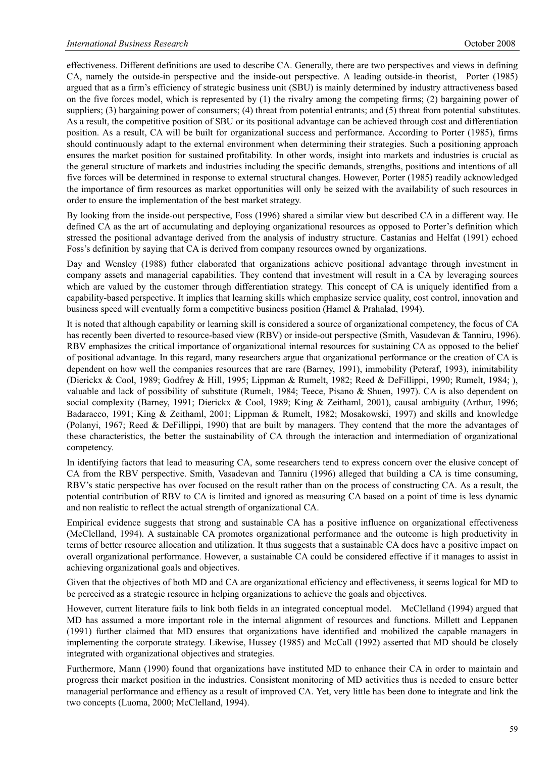effectiveness. Different definitions are used to describe CA. Generally, there are two perspectives and views in defining CA, namely the outside-in perspective and the inside-out perspective. A leading outside-in theorist, Porter (1985) argued that as a firm's efficiency of strategic business unit (SBU) is mainly determined by industry attractiveness based on the five forces model, which is represented by (1) the rivalry among the competing firms; (2) bargaining power of suppliers; (3) bargaining power of consumers; (4) threat from potential entrants; and (5) threat from potential substitutes. As a result, the competitive position of SBU or its positional advantage can be achieved through cost and differentiation position. As a result, CA will be built for organizational success and performance. According to Porter (1985), firms should continuously adapt to the external environment when determining their strategies. Such a positioning approach ensures the market position for sustained profitability. In other words, insight into markets and industries is crucial as the general structure of markets and industries including the specific demands, strengths, positions and intentions of all five forces will be determined in response to external structural changes. However, Porter (1985) readily acknowledged the importance of firm resources as market opportunities will only be seized with the availability of such resources in order to ensure the implementation of the best market strategy.

By looking from the inside-out perspective, Foss (1996) shared a similar view but described CA in a different way. He defined CA as the art of accumulating and deploying organizational resources as opposed to Porter's definition which stressed the positional advantage derived from the analysis of industry structure. Castanias and Helfat (1991) echoed Foss's definition by saying that CA is derived from company resources owned by organizations.

Day and Wensley (1988) futher elaborated that organizations achieve positional advantage through investment in company assets and managerial capabilities. They contend that investment will result in a CA by leveraging sources which are valued by the customer through differentiation strategy. This concept of CA is uniquely identified from a capability-based perspective. It implies that learning skills which emphasize service quality, cost control, innovation and business speed will eventually form a competitive business position (Hamel & Prahalad, 1994).

It is noted that although capability or learning skill is considered a source of organizational competency, the focus of CA has recently been diverted to resource-based view (RBV) or inside-out perspective (Smith, Vasudevan & Tanniru, 1996). RBV emphasizes the critical importance of organizational internal resources for sustaining CA as opposed to the belief of positional advantage. In this regard, many researchers argue that organizational performance or the creation of CA is dependent on how well the companies resources that are rare (Barney, 1991), immobility (Peteraf, 1993), inimitability (Dierickx & Cool, 1989; Godfrey & Hill, 1995; Lippman & Rumelt, 1982; Reed & DeFillippi, 1990; Rumelt, 1984; ), valuable and lack of possibility of substitute (Rumelt, 1984; Teece, Pisano & Shuen, 1997). CA is also dependent on social complexity (Barney, 1991; Dierickx & Cool, 1989; King & Zeithaml, 2001), causal ambiguity (Arthur, 1996; Badaracco, 1991; King & Zeithaml, 2001; Lippman & Rumelt, 1982; Mosakowski, 1997) and skills and knowledge (Polanyi, 1967; Reed & DeFillippi, 1990) that are built by managers. They contend that the more the advantages of these characteristics, the better the sustainability of CA through the interaction and intermediation of organizational competency.

In identifying factors that lead to measuring CA, some researchers tend to express concern over the elusive concept of CA from the RBV perspective. Smith, Vasadevan and Tanniru (1996) alleged that building a CA is time consuming, RBV's static perspective has over focused on the result rather than on the process of constructing CA. As a result, the potential contribution of RBV to CA is limited and ignored as measuring CA based on a point of time is less dynamic and non realistic to reflect the actual strength of organizational CA.

Empirical evidence suggests that strong and sustainable CA has a positive influence on organizational effectiveness (McClelland, 1994). A sustainable CA promotes organizational performance and the outcome is high productivity in terms of better resource allocation and utilization. It thus suggests that a sustainable CA does have a positive impact on overall organizational performance. However, a sustainable CA could be considered effective if it manages to assist in achieving organizational goals and objectives.

Given that the objectives of both MD and CA are organizational efficiency and effectiveness, it seems logical for MD to be perceived as a strategic resource in helping organizations to achieve the goals and objectives.

However, current literature fails to link both fields in an integrated conceptual model. McClelland (1994) argued that MD has assumed a more important role in the internal alignment of resources and functions. Millett and Leppanen (1991) further claimed that MD ensures that organizations have identified and mobilized the capable managers in implementing the corporate strategy. Likewise, Hussey (1985) and McCall (1992) asserted that MD should be closely integrated with organizational objectives and strategies.

Furthermore, Mann (1990) found that organizations have instituted MD to enhance their CA in order to maintain and progress their market position in the industries. Consistent monitoring of MD activities thus is needed to ensure better managerial performance and effiency as a result of improved CA. Yet, very little has been done to integrate and link the two concepts (Luoma, 2000; McClelland, 1994).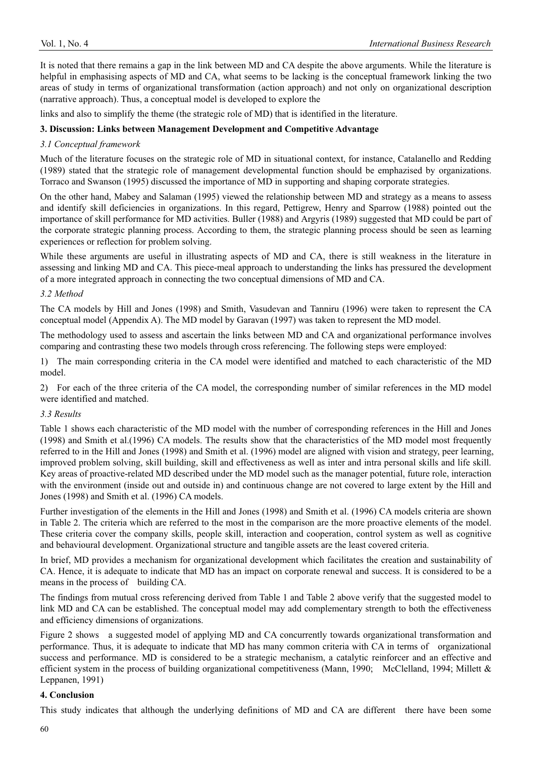It is noted that there remains a gap in the link between MD and CA despite the above arguments. While the literature is helpful in emphasising aspects of MD and CA, what seems to be lacking is the conceptual framework linking the two areas of study in terms of organizational transformation (action approach) and not only on organizational description (narrative approach). Thus, a conceptual model is developed to explore the

links and also to simplify the theme (the strategic role of MD) that is identified in the literature.

# **3. Discussion: Links between Management Development and Competitive Advantage**

## *3.1 Conceptual framework*

Much of the literature focuses on the strategic role of MD in situational context, for instance, Catalanello and Redding (1989) stated that the strategic role of management developmental function should be emphazised by organizations. Torraco and Swanson (1995) discussed the importance of MD in supporting and shaping corporate strategies.

On the other hand, Mabey and Salaman (1995) viewed the relationship between MD and strategy as a means to assess and identify skill deficiencies in organizations. In this regard, Pettigrew, Henry and Sparrow (1988) pointed out the importance of skill performance for MD activities. Buller (1988) and Argyris (1989) suggested that MD could be part of the corporate strategic planning process. According to them, the strategic planning process should be seen as learning experiences or reflection for problem solving.

While these arguments are useful in illustrating aspects of MD and CA, there is still weakness in the literature in assessing and linking MD and CA. This piece-meal approach to understanding the links has pressured the development of a more integrated approach in connecting the two conceptual dimensions of MD and CA.

## *3.2 Method*

The CA models by Hill and Jones (1998) and Smith, Vasudevan and Tanniru (1996) were taken to represent the CA conceptual model (Appendix A). The MD model by Garavan (1997) was taken to represent the MD model.

The methodology used to assess and ascertain the links between MD and CA and organizational performance involves comparing and contrasting these two models through cross referencing. The following steps were employed:

1) The main corresponding criteria in the CA model were identified and matched to each characteristic of the MD model.

2) For each of the three criteria of the CA model, the corresponding number of similar references in the MD model were identified and matched.

## *3.3 Results*

Table 1 shows each characteristic of the MD model with the number of corresponding references in the Hill and Jones (1998) and Smith et al.(1996) CA models. The results show that the characteristics of the MD model most frequently referred to in the Hill and Jones (1998) and Smith et al. (1996) model are aligned with vision and strategy, peer learning, improved problem solving, skill building, skill and effectiveness as well as inter and intra personal skills and life skill. Key areas of proactive-related MD described under the MD model such as the manager potential, future role, interaction with the environment (inside out and outside in) and continuous change are not covered to large extent by the Hill and Jones (1998) and Smith et al. (1996) CA models.

Further investigation of the elements in the Hill and Jones (1998) and Smith et al. (1996) CA models criteria are shown in Table 2. The criteria which are referred to the most in the comparison are the more proactive elements of the model. These criteria cover the company skills, people skill, interaction and cooperation, control system as well as cognitive and behavioural development. Organizational structure and tangible assets are the least covered criteria.

In brief, MD provides a mechanism for organizational development which facilitates the creation and sustainability of CA. Hence, it is adequate to indicate that MD has an impact on corporate renewal and success. It is considered to be a means in the process of building CA.

The findings from mutual cross referencing derived from Table 1 and Table 2 above verify that the suggested model to link MD and CA can be established. The conceptual model may add complementary strength to both the effectiveness and efficiency dimensions of organizations.

Figure 2 shows a suggested model of applying MD and CA concurrently towards organizational transformation and performance. Thus, it is adequate to indicate that MD has many common criteria with CA in terms of organizational success and performance. MD is considered to be a strategic mechanism, a catalytic reinforcer and an effective and efficient system in the process of building organizational competitiveness (Mann, 1990; McClelland, 1994; Millett & Leppanen, 1991)

## **4. Conclusion**

This study indicates that although the underlying definitions of MD and CA are different there have been some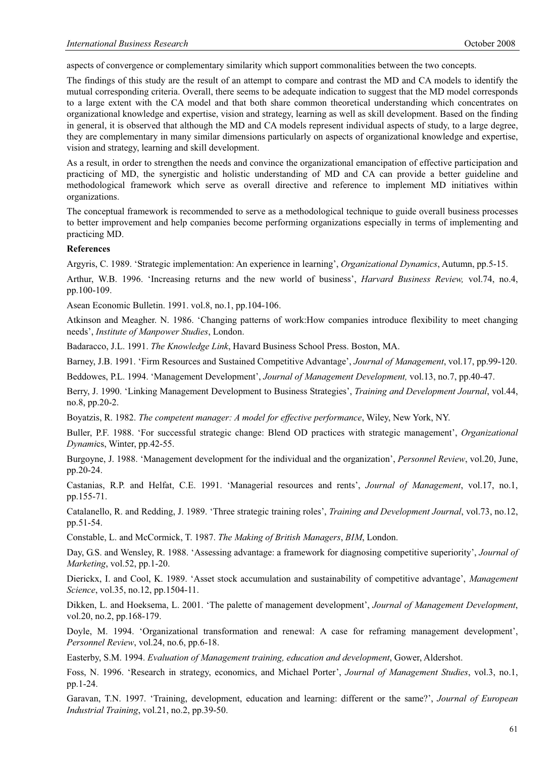aspects of convergence or complementary similarity which support commonalities between the two concepts.

The findings of this study are the result of an attempt to compare and contrast the MD and CA models to identify the mutual corresponding criteria. Overall, there seems to be adequate indication to suggest that the MD model corresponds to a large extent with the CA model and that both share common theoretical understanding which concentrates on organizational knowledge and expertise, vision and strategy, learning as well as skill development. Based on the finding in general, it is observed that although the MD and CA models represent individual aspects of study, to a large degree, they are complementary in many similar dimensions particularly on aspects of organizational knowledge and expertise, vision and strategy, learning and skill development.

As a result, in order to strengthen the needs and convince the organizational emancipation of effective participation and practicing of MD, the synergistic and holistic understanding of MD and CA can provide a better guideline and methodological framework which serve as overall directive and reference to implement MD initiatives within organizations.

The conceptual framework is recommended to serve as a methodological technique to guide overall business processes to better improvement and help companies become performing organizations especially in terms of implementing and practicing MD.

#### **References**

Argyris, C. 1989. 'Strategic implementation: An experience in learning', *Organizational Dynamics*, Autumn, pp.5-15.

Arthur, W.B. 1996. 'Increasing returns and the new world of business', *Harvard Business Review,* vol.74, no.4, pp.100-109.

Asean Economic Bulletin. 1991. vol.8, no.1, pp.104-106.

Atkinson and Meagher. N. 1986. 'Changing patterns of work:How companies introduce flexibility to meet changing needs', *Institute of Manpower Studies*, London.

Badaracco, J.L. 1991. *The Knowledge Link*, Havard Business School Press. Boston, MA.

Barney, J.B. 1991. 'Firm Resources and Sustained Competitive Advantage', *Journal of Management*, vol.17, pp.99-120.

Beddowes, P.L. 1994. 'Management Development', *Journal of Management Development,* vol.13, no.7, pp.40-47.

Berry, J. 1990. 'Linking Management Development to Business Strategies', *Training and Development Journal*, vol.44, no.8, pp.20-2.

Boyatzis, R. 1982. *The competent manager: A model for effective performance*, Wiley, New York, NY.

Buller, P.F. 1988. 'For successful strategic change: Blend OD practices with strategic management', *Organizational Dynami*cs, Winter, pp.42-55.

Burgoyne, J. 1988. 'Management development for the individual and the organization', *Personnel Review*, vol.20, June, pp.20-24.

Castanias, R.P. and Helfat, C.E. 1991. 'Managerial resources and rents', *Journal of Management*, vol.17, no.1, pp.155-71.

Catalanello, R. and Redding, J. 1989. 'Three strategic training roles', *Training and Development Journal*, vol.73, no.12, pp.51-54.

Constable, L. and McCormick, T. 1987. *The Making of British Managers*, *BIM*, London.

Day, G.S. and Wensley, R. 1988. 'Assessing advantage: a framework for diagnosing competitive superiority', *Journal of Marketing*, vol.52, pp.1-20.

Dierickx, I. and Cool, K. 1989. 'Asset stock accumulation and sustainability of competitive advantage', *Management Science*, vol.35, no.12, pp.1504-11.

Dikken, L. and Hoeksema, L. 2001. 'The palette of management development', *Journal of Management Development*, vol.20, no.2, pp.168-179.

Doyle, M. 1994. 'Organizational transformation and renewal: A case for reframing management development', *Personnel Review*, vol.24, no.6, pp.6-18.

Easterby, S.M. 1994. *Evaluation of Management training, education and development*, Gower, Aldershot.

Foss, N. 1996. 'Research in strategy, economics, and Michael Porter', *Journal of Management Studies*, vol.3, no.1, pp.1-24.

Garavan, T.N. 1997. 'Training, development, education and learning: different or the same?', *Journal of European Industrial Training*, vol.21, no.2, pp.39-50.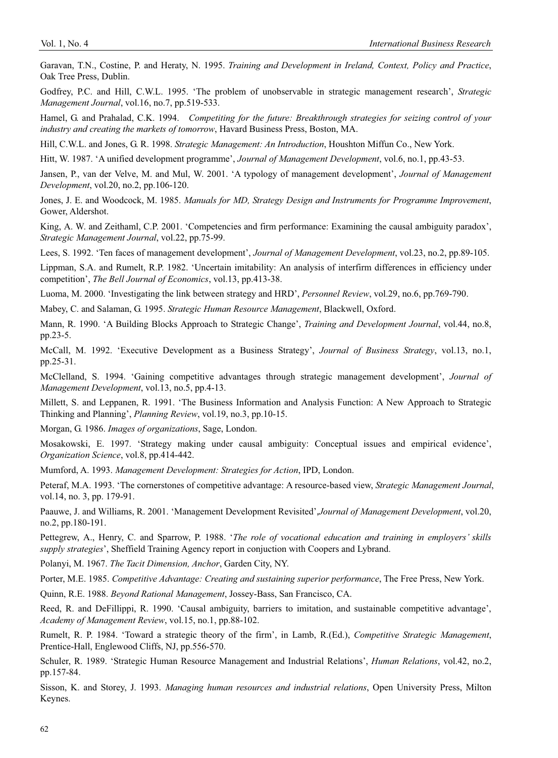Garavan, T.N., Costine, P. and Heraty, N. 1995. *Training and Development in Ireland, Context, Policy and Practice*, Oak Tree Press, Dublin.

Godfrey, P.C. and Hill, C.W.L. 1995. 'The problem of unobservable in strategic management research', *Strategic Management Journal*, vol.16, no.7, pp.519-533.

Hamel, G. and Prahalad, C.K. 1994. *Competiting for the future: Breakthrough strategies for seizing control of your industry and creating the markets of tomorrow*, Havard Business Press, Boston, MA.

Hill, C.W.L. and Jones, G. R. 1998. *Strategic Management: An Introduction*, Houshton Miffun Co., New York.

Hitt, W. 1987. 'A unified development programme', *Journal of Management Development*, vol.6, no.1, pp.43-53.

Jansen, P., van der Velve, M. and Mul, W. 2001. 'A typology of management development', *Journal of Management Development*, vol.20, no.2, pp.106-120.

Jones, J. E. and Woodcock, M. 1985. *Manuals for MD, Strategy Design and Instruments for Programme Improvement*, Gower, Aldershot.

King, A. W. and Zeithaml, C.P. 2001. 'Competencies and firm performance: Examining the causal ambiguity paradox', *Strategic Management Journal*, vol.22, pp.75-99.

Lees, S. 1992. 'Ten faces of management development', *Journal of Management Development*, vol.23, no.2, pp.89-105.

Lippman, S.A. and Rumelt, R.P. 1982. 'Uncertain imitability: An analysis of interfirm differences in efficiency under competition', *The Bell Journal of Economics*, vol.13, pp.413-38.

Luoma, M. 2000. 'Investigating the link between strategy and HRD', *Personnel Review*, vol.29, no.6, pp.769-790.

Mabey, C. and Salaman, G. 1995. *Strategic Human Resource Management*, Blackwell, Oxford.

Mann, R. 1990. 'A Building Blocks Approach to Strategic Change', *Training and Development Journal*, vol.44, no.8, pp.23-5.

McCall, M. 1992. 'Executive Development as a Business Strategy', *Journal of Business Strategy*, vol.13, no.1, pp.25-31.

McClelland, S. 1994. 'Gaining competitive advantages through strategic management development', *Journal of Management Development*, vol.13, no.5, pp.4-13.

Millett, S. and Leppanen, R. 1991. 'The Business Information and Analysis Function: A New Approach to Strategic Thinking and Planning', *Planning Review*, vol.19, no.3, pp.10-15.

Morgan, G. 1986. *Images of organizations*, Sage, London.

Mosakowski, E. 1997. 'Strategy making under causal ambiguity: Conceptual issues and empirical evidence', *Organization Science*, vol.8, pp.414-442.

Mumford, A. 1993. *Management Development: Strategies for Action*, IPD, London.

Peteraf, M.A. 1993. 'The cornerstones of competitive advantage: A resource-based view, *Strategic Management Journal*, vol.14, no. 3, pp. 179-91.

Paauwe, J. and Williams, R. 2001. 'Management Development Revisited',*Journal of Management Development*, vol.20, no.2, pp.180-191.

Pettegrew, A., Henry, C. and Sparrow, P. 1988. '*The role of vocational education and training in employers' skills supply strategies*', Sheffield Training Agency report in conjuction with Coopers and Lybrand.

Polanyi, M. 1967. *The Tacit Dimension, Anchor*, Garden City, NY.

Porter, M.E. 1985. *Competitive Advantage: Creating and sustaining superior performance*, The Free Press, New York.

Quinn, R.E. 1988. *Beyond Rational Management*, Jossey-Bass, San Francisco, CA.

Reed, R. and DeFillippi, R. 1990. 'Causal ambiguity, barriers to imitation, and sustainable competitive advantage', *Academy of Management Review*, vol.15, no.1, pp.88-102.

Rumelt, R. P. 1984. 'Toward a strategic theory of the firm', in Lamb, R.(Ed.), *Competitive Strategic Management*, Prentice-Hall, Englewood Cliffs, NJ, pp.556-570.

Schuler, R. 1989. 'Strategic Human Resource Management and Industrial Relations', *Human Relations*, vol.42, no.2, pp.157-84.

Sisson, K. and Storey, J. 1993. *Managing human resources and industrial relations*, Open University Press, Milton Keynes.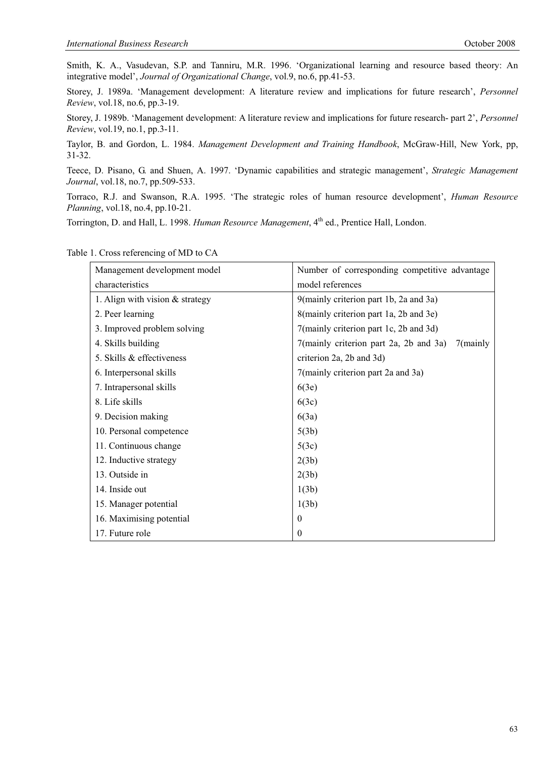Smith, K. A., Vasudevan, S.P. and Tanniru, M.R. 1996. 'Organizational learning and resource based theory: An integrative model', *Journal of Organizational Change*, vol.9, no.6, pp.41-53.

Storey, J. 1989a. 'Management development: A literature review and implications for future research', *Personnel Review*, vol.18, no.6, pp.3-19.

Storey, J. 1989b. 'Management development: A literature review and implications for future research- part 2', *Personnel Review*, vol.19, no.1, pp.3-11.

Taylor, B. and Gordon, L. 1984. *Management Development and Training Handbook*, McGraw-Hill, New York, pp, 31-32.

Teece, D. Pisano, G. and Shuen, A. 1997. 'Dynamic capabilities and strategic management', *Strategic Management Journal*, vol.18, no.7, pp.509-533.

Torraco, R.J. and Swanson, R.A. 1995. 'The strategic roles of human resource development', *Human Resource Planning*, vol.18, no.4, pp.10-21.

Torrington, D. and Hall, L. 1998. *Human Resource Management*, 4<sup>th</sup> ed., Prentice Hall, London.

| Management development model      | Number of corresponding competitive advantage            |
|-----------------------------------|----------------------------------------------------------|
| characteristics                   | model references                                         |
| 1. Align with vision $&$ strategy | 9(mainly criterion part 1b, 2a and 3a)                   |
| 2. Peer learning                  | 8(mainly criterion part 1a, 2b and 3e)                   |
| 3. Improved problem solving       | 7(mainly criterion part 1c, 2b and 3d)                   |
| 4. Skills building                | $7$ (mainly criterion part 2a, 2b and 3a)<br>$7$ (mainly |
| 5. Skills & effectiveness         | criterion 2a, 2b and 3d)                                 |
| 6. Interpersonal skills           | 7(mainly criterion part 2a and 3a)                       |
| 7. Intrapersonal skills           | 6(3e)                                                    |
| 8. Life skills                    | 6(3c)                                                    |
| 9. Decision making                | 6(3a)                                                    |
| 10. Personal competence           | 5(3b)                                                    |
| 11. Continuous change             | 5(3c)                                                    |
| 12. Inductive strategy            | 2(3b)                                                    |
| 13. Outside in                    | 2(3b)                                                    |
| 14. Inside out                    | 1(3b)                                                    |
| 15. Manager potential             | 1(3b)                                                    |
| 16. Maximising potential          | $\theta$                                                 |
| 17. Future role                   | $\Omega$                                                 |

Table 1. Cross referencing of MD to CA